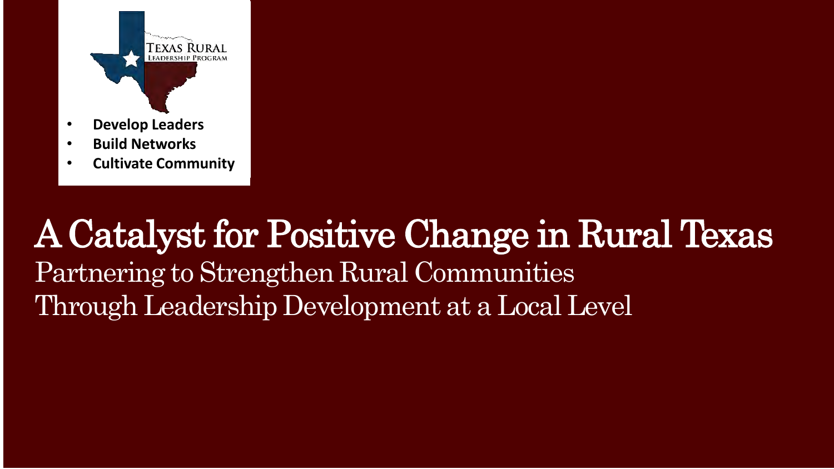

- **Develop Leaders**
- **Build Networks**
- **Cultivate Community**

### A Catalyst for Positive Change in Rural Texas Partnering to Strengthen Rural Communities Through Leadership Development at a Local Level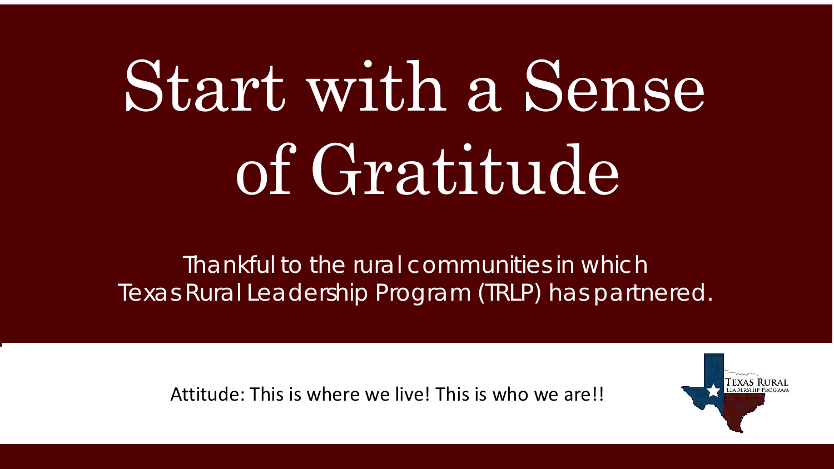# Start with a Sense of Gratitude

Thankful to the rural communities in which Texas Rural Leadership Program (TRLP) has partnered.

Attitude: This is where we live! This is who we are!!

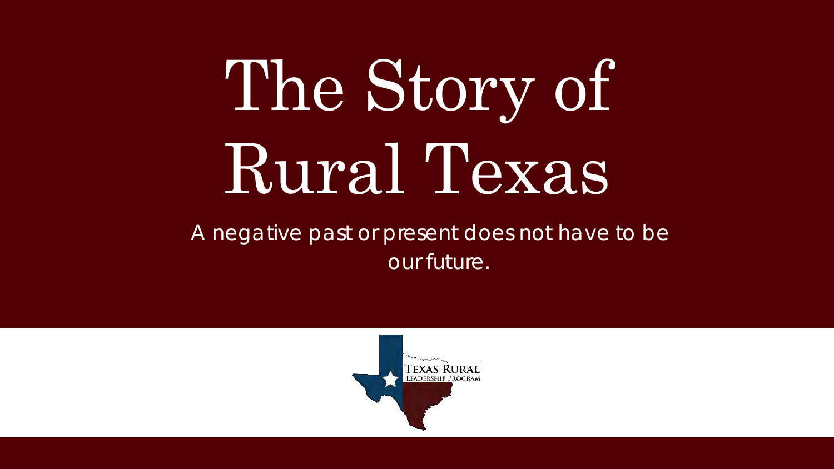# The Story of Rural Texas

A negative past or present does not have to be our future.

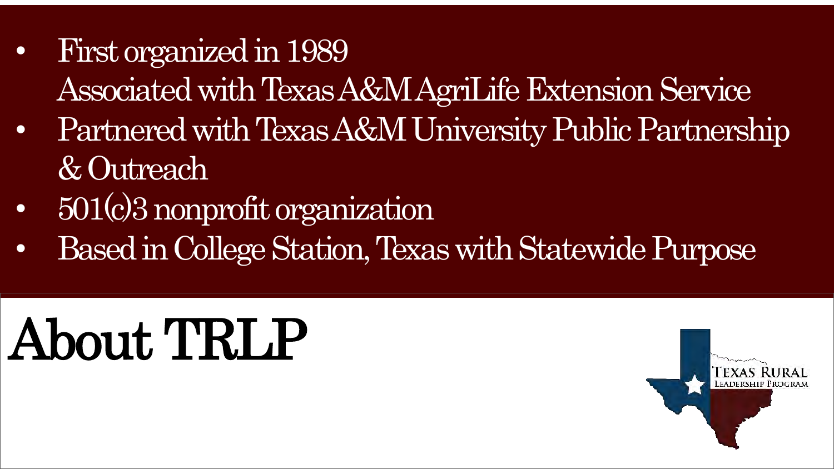- First organized in 1989 Associated with Texas A&M AgriLife Extension Service
- Partnered with Texas A&M University Public Partnership & Outreach
- 501(c)3 nonprofit organization
- Based in College Station, Texas with Statewide Purpose

## About TRLP

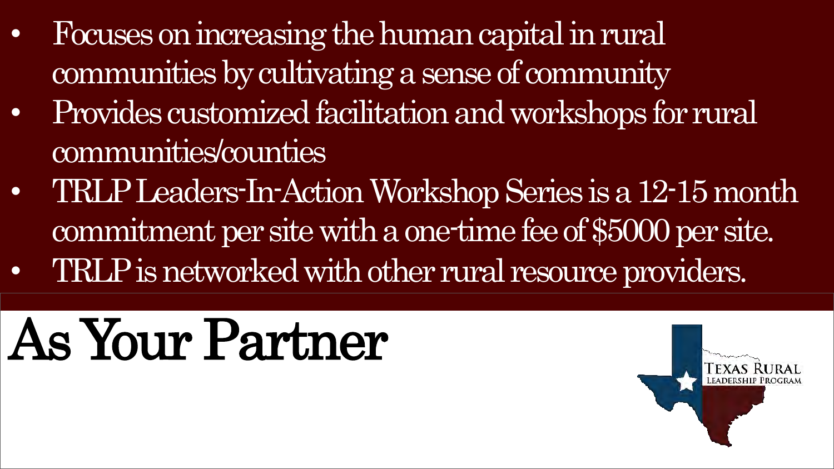- Focuses on increasing the human capital in rural communities by cultivating a sense of community
- Provides customized facilitation and workshops for rural communities/counties
- TRLP Leaders-In-Action Workshop Series is a 12-15 month commitment per site with a one-time fee of \$5000 per site.
- TRLP is networked with other rural resource providers.

## As Your Partner

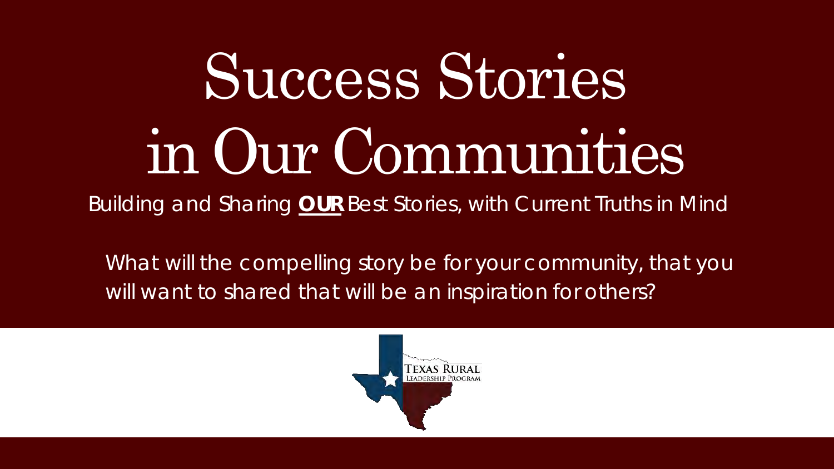# Success Stories in Our Communities

Building and Sharing **OUR** Best Stories, with Current Truths in Mind

What will the compelling story be for your community, that you will want to shared that will be an inspiration for others?

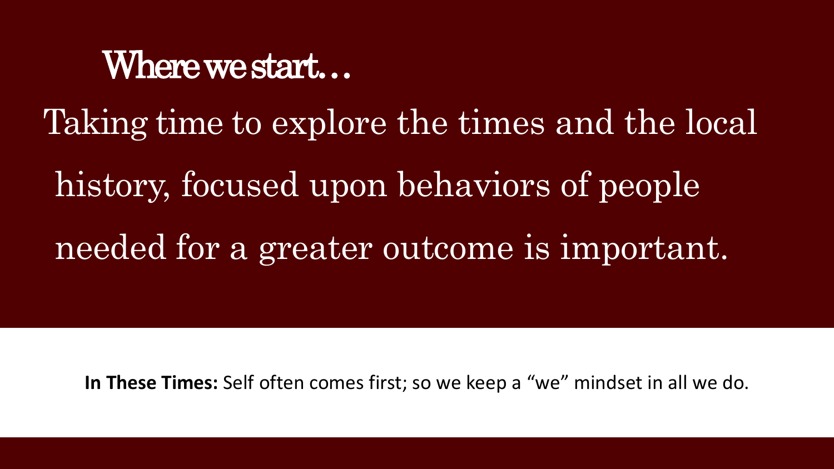### Where we start…

Taking time to explore the times and the local

history, focused upon behaviors of people needed for a greater outcome is important.

**In These Times:** Self often comes first; so we keep a "we" mindset in all we do.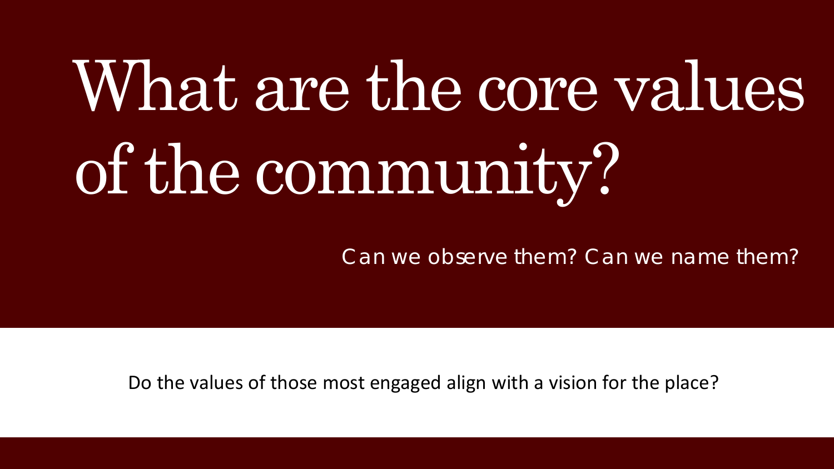# What are the core values of the community?

Can we observe them? Can we name them?

Do the values of those most engaged align with a vision for the place?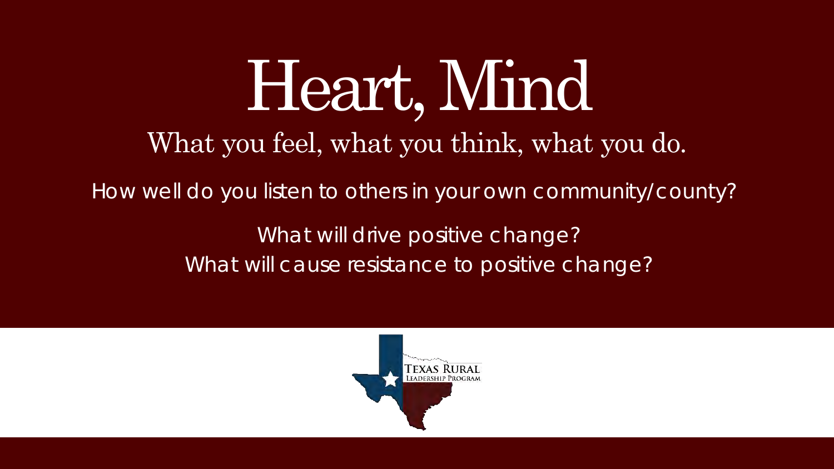## Heart, Mind What you feel, what you think, what you do.

How well do you listen to others in your own community/county?

What will drive positive change? What will cause resistance to positive change?

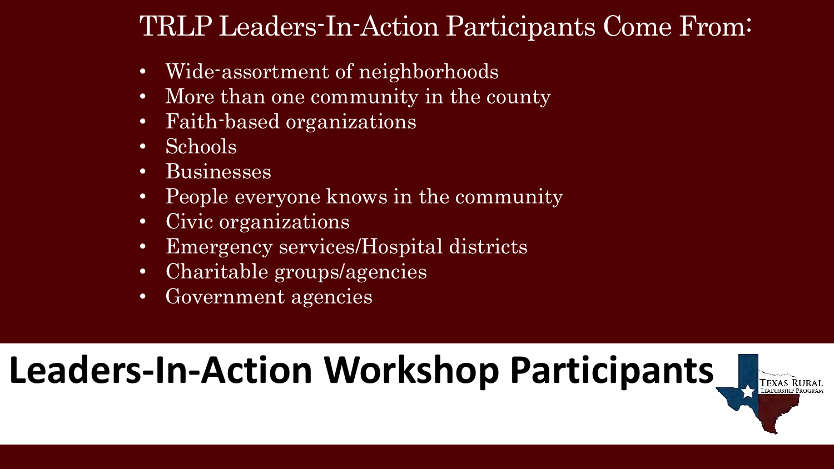### TRLP Leaders-In-Action Participants Come From:

- Wide-assortment of neighborhoods
- More than one community in the county
- Faith-based organizations
- Schools
- Businesses
- People everyone knows in the community
- Civic organizations
- Emergency services/Hospital districts
- Charitable groups/agencies
- Government agencies

### **Leaders-In-Action Workshop Participants**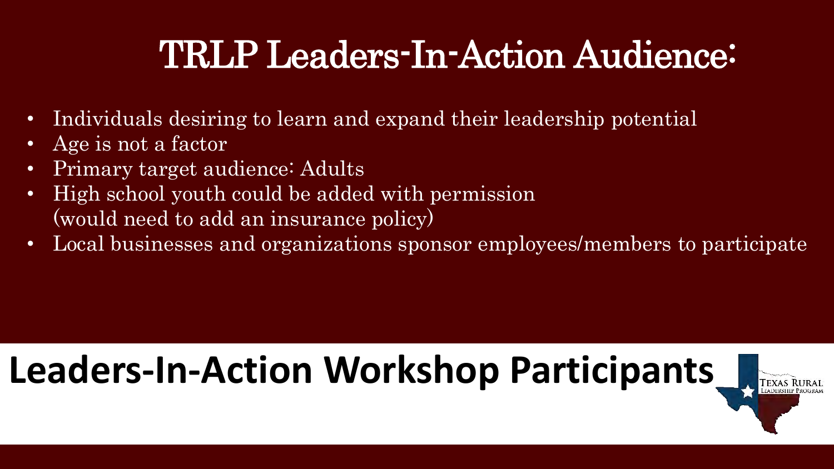### TRLP Leaders-In-Action Audience:

- Individuals desiring to learn and expand their leadership potential
- Age is not a factor
- Primary target audience: Adults
- High school youth could be added with permission (would need to add an insurance policy)
- Local businesses and organizations sponsor employees/members to participate

## **Leaders-In-Action Workshop Participants**

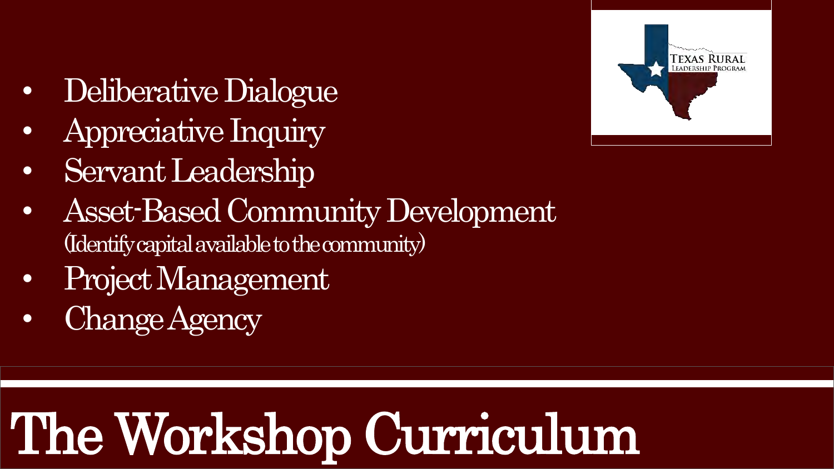- Deliberative Dialogue
- Appreciative Inquiry
- Servant Leadership
- Asset-Based Community Development (Identify capital available to the community)
- Project Management
- Change Agency

## The Workshop Curriculum

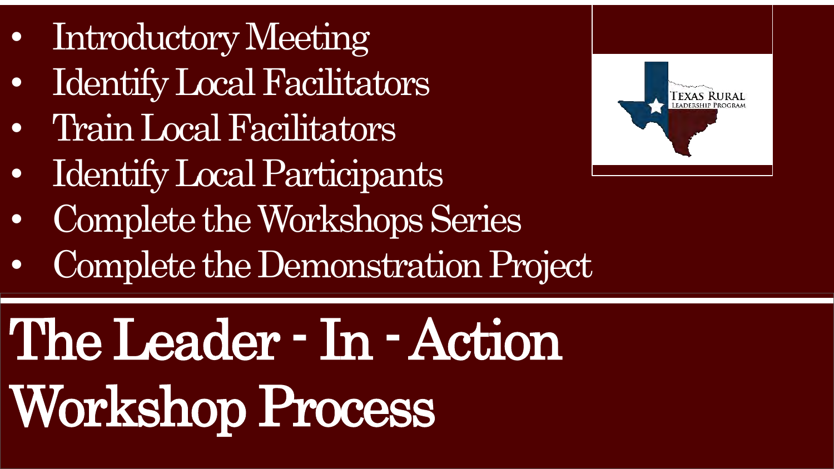- Introductory Meeting
- Identify Local Facilitators
- Train Local Facilitators
- Identify Local Participants
- Complete the Workshops Series
- Complete the Demonstration Project

## The Leader - In -Action Workshop Process

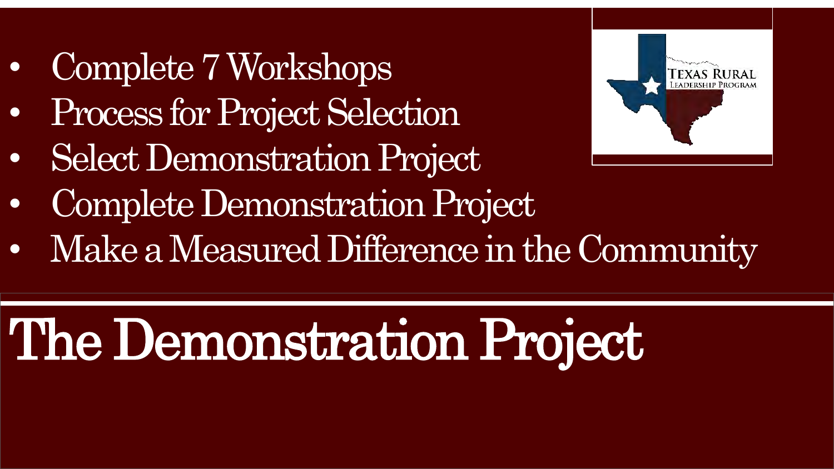- Complete 7 Workshops
- Process for Project Selection
- Select Demonstration Project



- Complete Demonstration Project
- Make a Measured Difference in the Community

## The Demonstration Project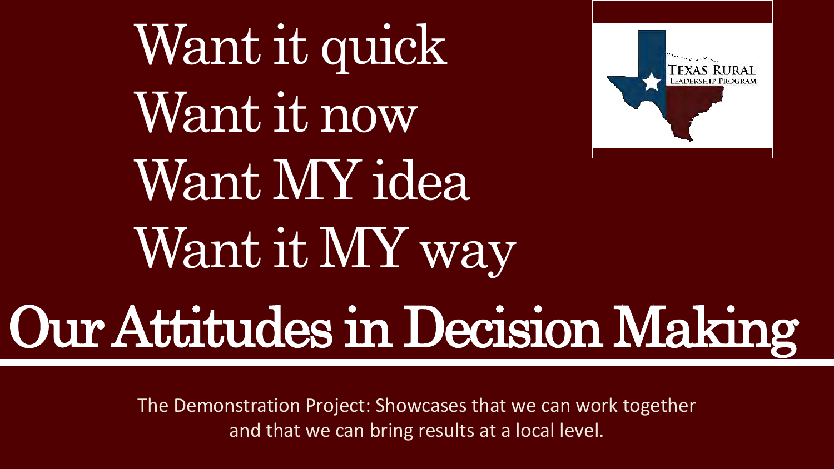Want it quick Want it now Want MY idea Want it MY way



## Our Attitudes in Decision Making

The Demonstration Project: Showcases that we can work together and that we can bring results at a local level.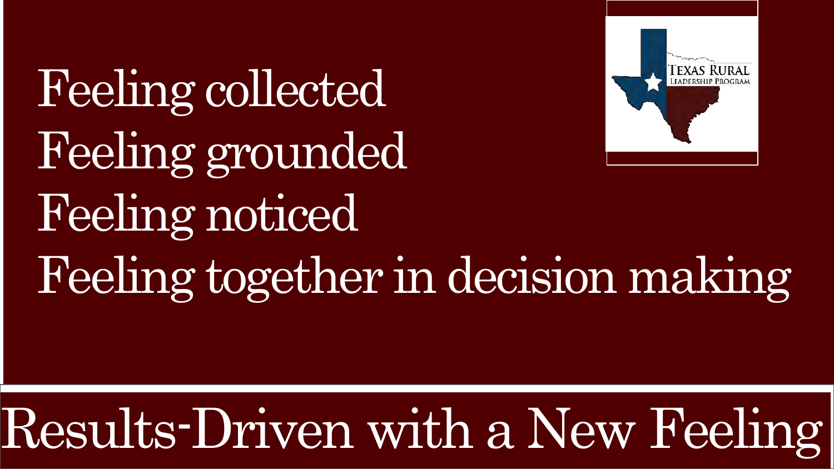Feeling collected Feeling grounded Feeling noticed Feeling together in decision making



## Results-Driven with a New Feeling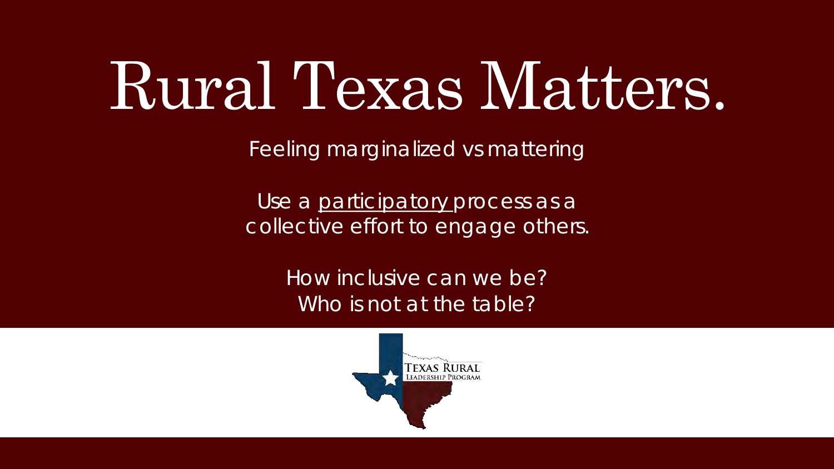## Rural Texas Matters.

Feeling marginalized vs mattering

Use a participatory process as a collective effort to engage others.

> How inclusive can we be? Who is not at the table?

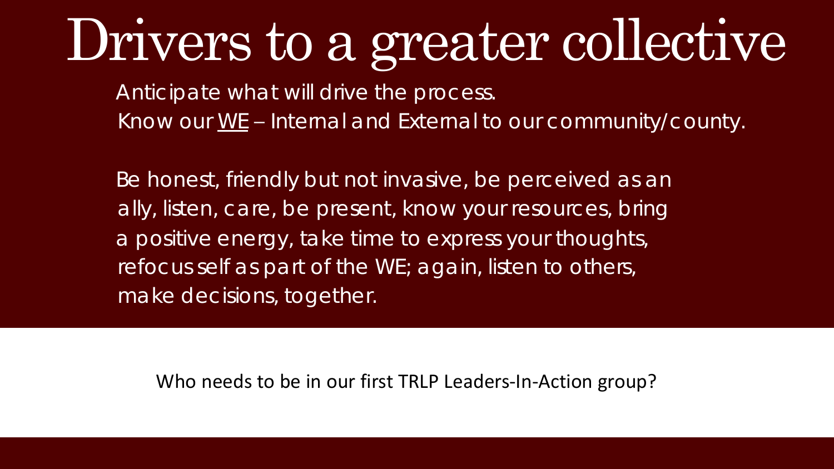## Drivers to a greater collective

Anticipate what will drive the process. Know our WE – Internal and External to our community/county.

Be honest, friendly but not invasive, be perceived as an ally, listen, care, be present, know your resources, bring a positive energy, take time to express your thoughts, refocus self as part of the WE; again, listen to others, make decisions, together.

Who needs to be in our first TRLP Leaders-In-Action group?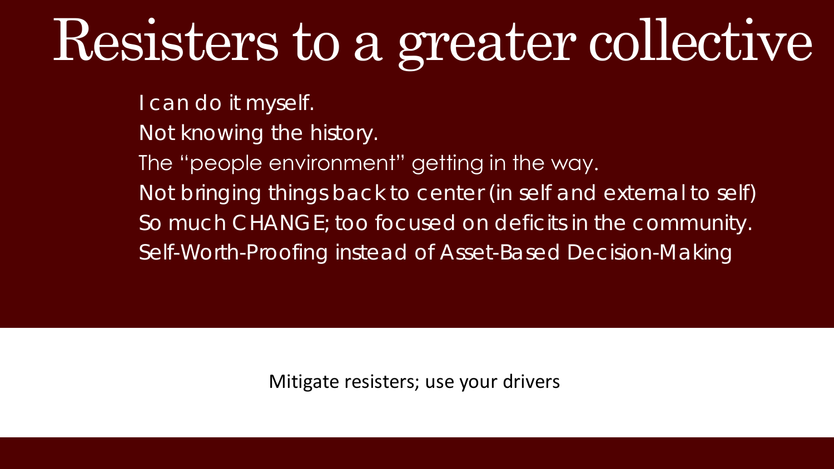## Resisters to a greater collective

I can do it myself.

Not knowing the history.

The "people environment" getting in the way.

Not bringing things back to center (in self and external to self)

So much CHANGE; too focused on deficits in the community.

Self-Worth-Proofing instead of Asset-Based Decision-Making

Mitigate resisters; use your drivers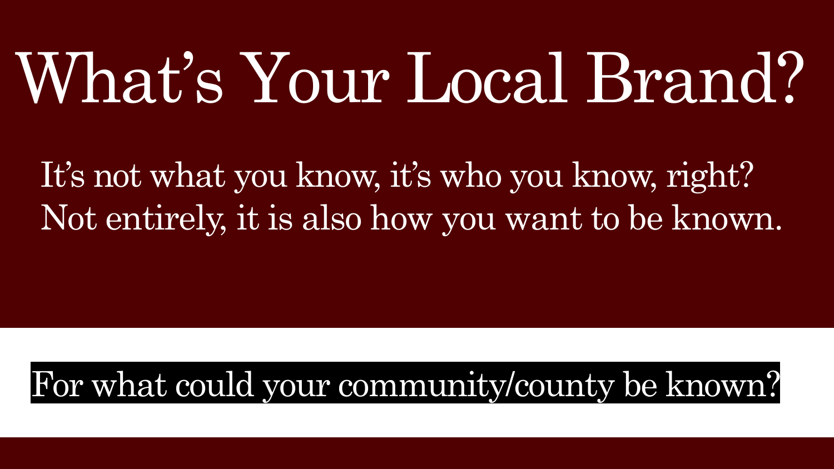# What's Your Local Brand?

It's not what you know, it's who you know, right? Not entirely, it is also how you want to be known.

### For what could your community/county be known?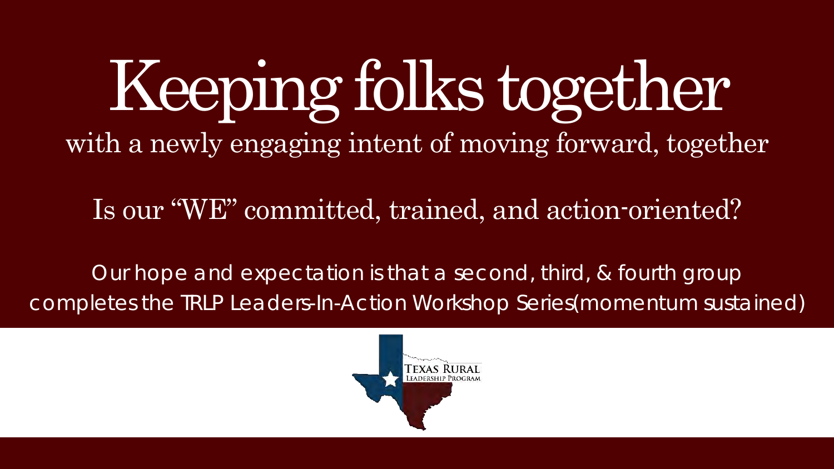## Keeping folks together with a newly engaging intent of moving forward, together

Is our "WE" committed, trained, and action-oriented?

Our hope and expectation is that a second, third, & fourth group completes the TRLP Leaders-In-Action Workshop Series(momentum sustained)

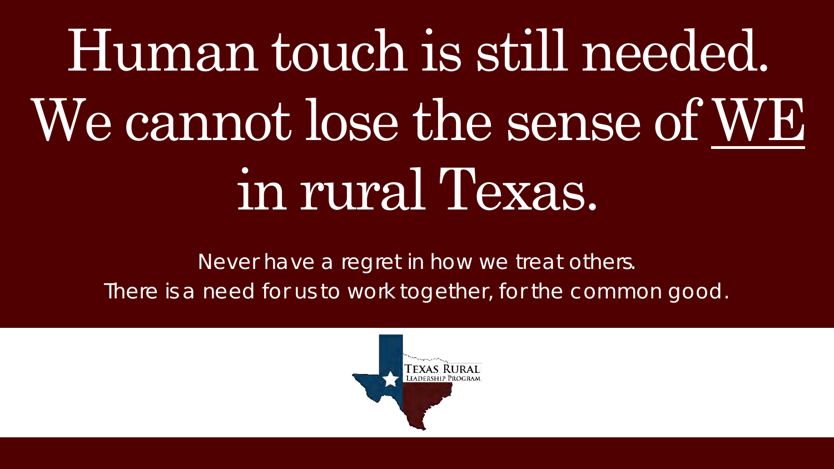# Human touch is still needed. We cannot lose the sense of WE in rural Texas.

Never have a regret in how we treat others. There is a need for us to work together, for the common good.

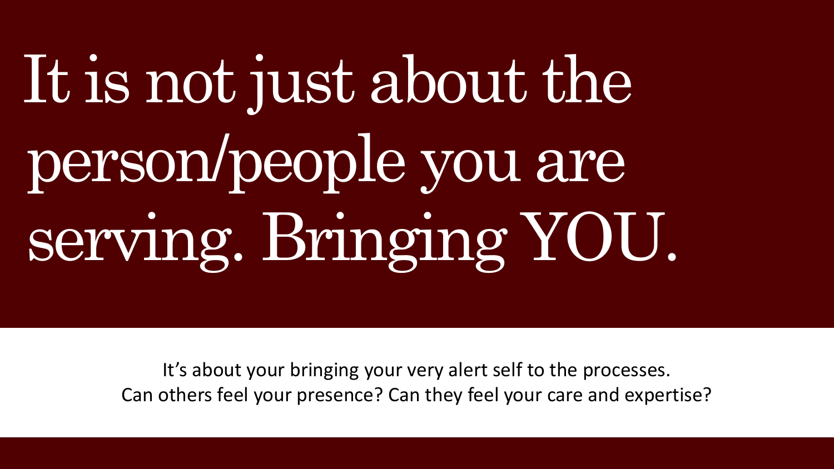# It is not just about the person/people you are serving. Bringing YOU.

It's about your bringing your very alert self to the processes. Can others feel your presence? Can they feel your care and expertise?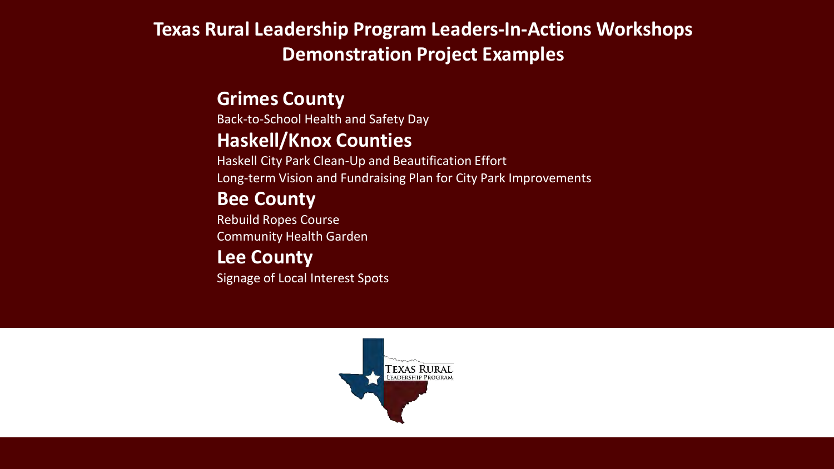### **Texas Rural Leadership Program Leaders-In-Actions Workshops Demonstration Project Examples**

#### **Grimes County**

Back-to-School Health and Safety Day **Haskell/Knox Counties**

Haskell City Park Clean-Up and Beautification Effort Long-term Vision and Fundraising Plan for City Park Improvements

#### **Bee County**

Rebuild Ropes Course Community Health Garden

#### **Lee County**

Signage of Local Interest Spots

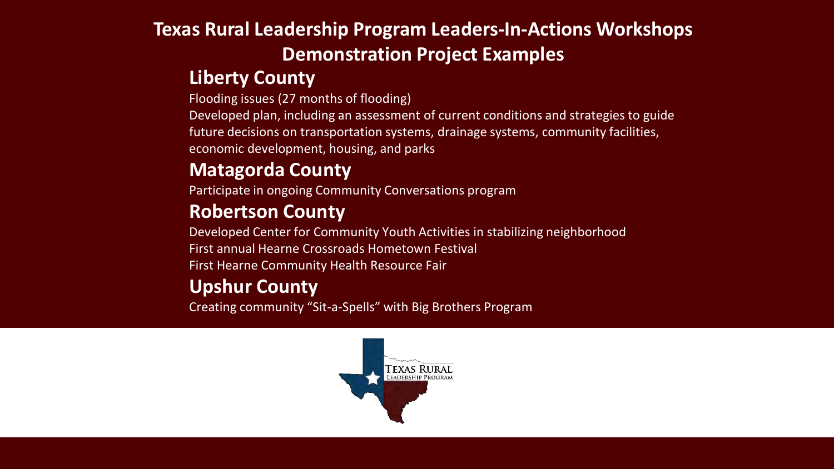### **Texas Rural Leadership Program Leaders-In-Actions Workshops Demonstration Project Examples**

#### **Liberty County**

Flooding issues (27 months of flooding)

Developed plan, including an assessment of current conditions and strategies to guide future decisions on transportation systems, drainage systems, community facilities, economic development, housing, and parks

### **Matagorda County**

Participate in ongoing Community Conversations program

#### **Robertson County**

Developed Center for Community Youth Activities in stabilizing neighborhood First annual Hearne Crossroads Hometown Festival First Hearne Community Health Resource Fair

### **Upshur County**

Creating community "Sit-a-Spells" with Big Brothers Program

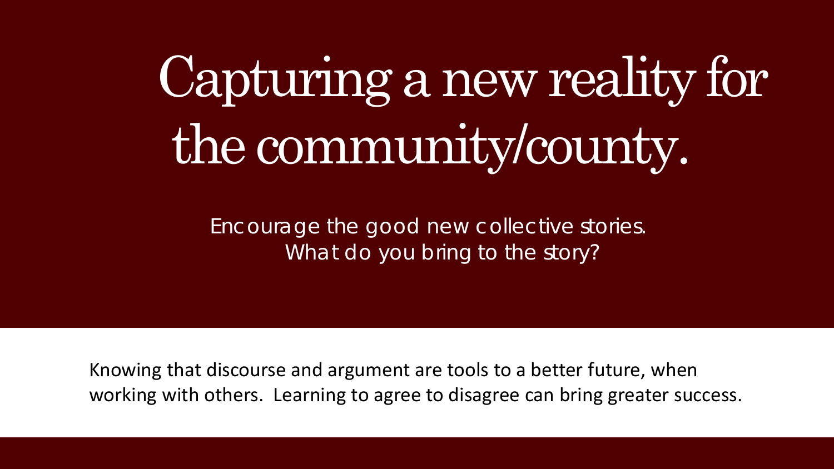## Capturing a new reality for the community/county.

Encourage the good new collective stories. What do you bring to the story?

Knowing that discourse and argument are tools to a better future, when working with others. Learning to agree to disagree can bring greater success.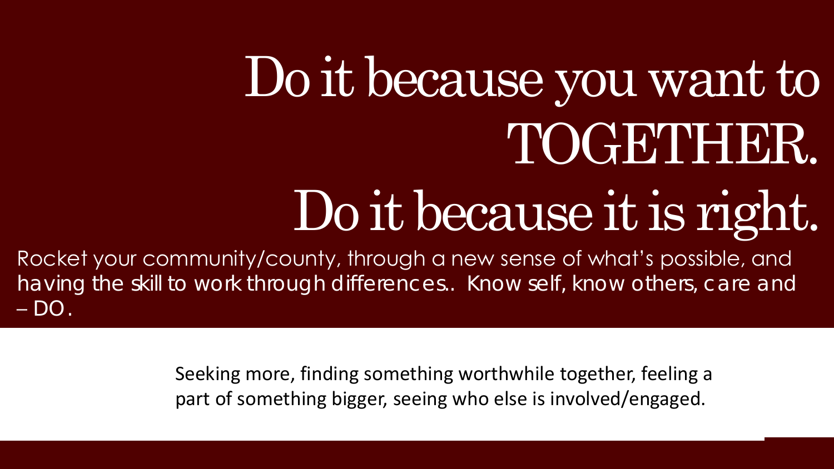## Do it because you want to TOGETHER.

## Do it because it is right.

Rocket your community/county, through a new sense of what's possible, and having the skill to work through differences.. Know self, know others, care and – DO.

> Seeking more, finding something worthwhile together, feeling a part of something bigger, seeing who else is involved/engaged.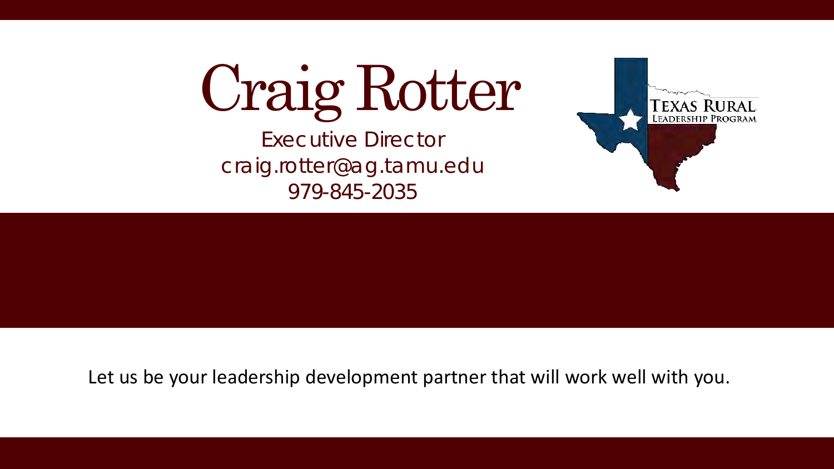Craig Rotter

Executive Director craig.rotter@ag.tamu.edu 979-845-2035



Let us be your leadership development partner that will work well with you.